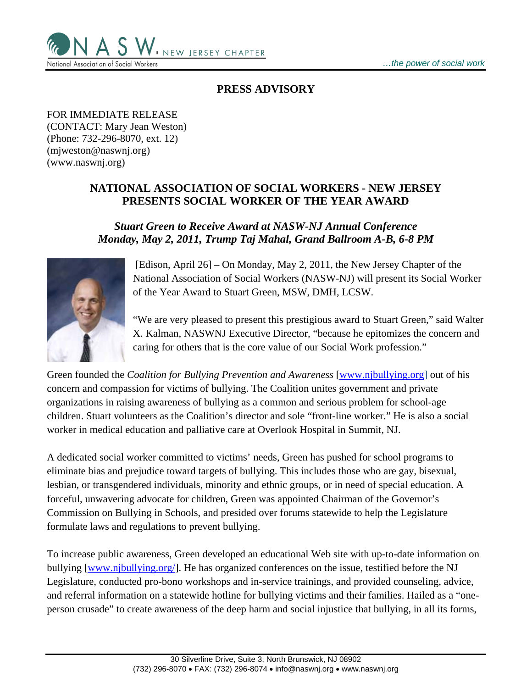

## **PRESS ADVISORY**

FOR IMMEDIATE RELEASE (CONTACT: Mary Jean Weston) (Phone: 732-296-8070, ext. 12) (mjweston@naswnj.org) (www.naswnj.org)

## **NATIONAL ASSOCIATION OF SOCIAL WORKERS - NEW JERSEY PRESENTS SOCIAL WORKER OF THE YEAR AWARD**

## *Stuart Green to Receive Award at NASW-NJ Annual Conference Monday, May 2, 2011, Trump Taj Mahal, Grand Ballroom A-B, 6-8 PM*



 [Edison, April 26] – On Monday, May 2, 2011, the New Jersey Chapter of the National Association of Social Workers (NASW-NJ) will present its Social Worker of the Year Award to Stuart Green, MSW, DMH, LCSW.

"We are very pleased to present this prestigious award to Stuart Green," said Walter X. Kalman, NASWNJ Executive Director, "because he epitomizes the concern and caring for others that is the core value of our Social Work profession."

Green founded the *Coalition for Bullying Prevention and Awareness* [www.njbullying.org] out of his concern and compassion for victims of bullying. The Coalition unites government and private organizations in raising awareness of bullying as a common and serious problem for school-age children. Stuart volunteers as the Coalition's director and sole "front-line worker." He is also a social worker in medical education and palliative care at Overlook Hospital in Summit, NJ.

A dedicated social worker committed to victims' needs, Green has pushed for school programs to eliminate bias and prejudice toward targets of bullying. This includes those who are gay, bisexual, lesbian, or transgendered individuals, minority and ethnic groups, or in need of special education. A forceful, unwavering advocate for children, Green was appointed Chairman of the Governor's Commission on Bullying in Schools, and presided over forums statewide to help the Legislature formulate laws and regulations to prevent bullying.

To increase public awareness, Green developed an educational Web site with up-to-date information on bullying [www.njbullying.org/]. He has organized conferences on the issue, testified before the NJ Legislature, conducted pro-bono workshops and in-service trainings, and provided counseling, advice, and referral information on a statewide hotline for bullying victims and their families. Hailed as a "oneperson crusade" to create awareness of the deep harm and social injustice that bullying, in all its forms,